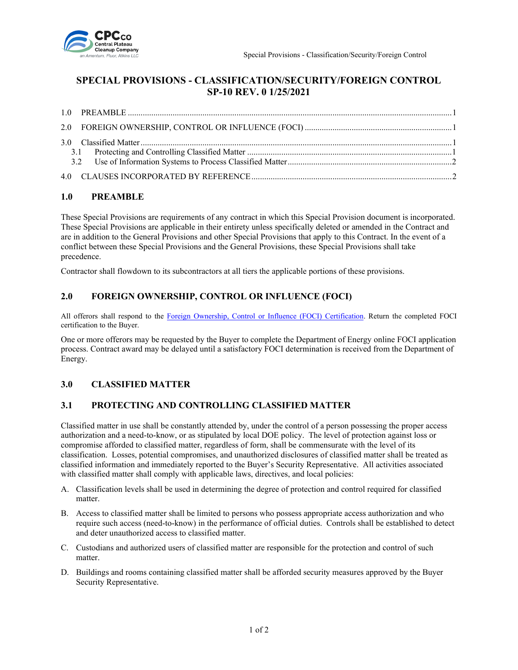

# **SPECIAL PROVISIONS - CLASSIFICATION/SECURITY/FOREIGN CONTROL SP-10 REV. 0 1/25/2021**

#### <span id="page-0-0"></span>**1.0 PREAMBLE**

These Special Provisions are requirements of any contract in which this Special Provision document is incorporated. These Special Provisions are applicable in their entirety unless specifically deleted or amended in the Contract and are in addition to the General Provisions and other Special Provisions that apply to this Contract. In the event of a conflict between these Special Provisions and the General Provisions, these Special Provisions shall take precedence.

Contractor shall flowdown to its subcontractors at all tiers the applicable portions of these provisions.

#### <span id="page-0-1"></span>**2.0 FOREIGN OWNERSHIP, CONTROL OR INFLUENCE (FOCI)**

All offerors shall respond to the [Foreign Ownership, Control or Influence \(FOCI\) Certification.](https://cpcco.hanford.gov/page.cfm/SubmittalsFormsDocs) Return the completed FOCI certification to the Buyer.

One or more offerors may be requested by the Buyer to complete the Department of Energy online FOCI application process. Contract award may be delayed until a satisfactory FOCI determination is received from the Department of Energy.

#### <span id="page-0-2"></span>**3.0 CLASSIFIED MATTER**

#### <span id="page-0-3"></span>**3.1 PROTECTING AND CONTROLLING CLASSIFIED MATTER**

Classified matter in use shall be constantly attended by, under the control of a person possessing the proper access authorization and a need-to-know, or as stipulated by local DOE policy. The level of protection against loss or compromise afforded to classified matter, regardless of form, shall be commensurate with the level of its classification. Losses, potential compromises, and unauthorized disclosures of classified matter shall be treated as classified information and immediately reported to the Buyer's Security Representative. All activities associated with classified matter shall comply with applicable laws, directives, and local policies:

- A. Classification levels shall be used in determining the degree of protection and control required for classified matter.
- B. Access to classified matter shall be limited to persons who possess appropriate access authorization and who require such access (need-to-know) in the performance of official duties. Controls shall be established to detect and deter unauthorized access to classified matter.
- C. Custodians and authorized users of classified matter are responsible for the protection and control of such matter.
- D. Buildings and rooms containing classified matter shall be afforded security measures approved by the Buyer Security Representative.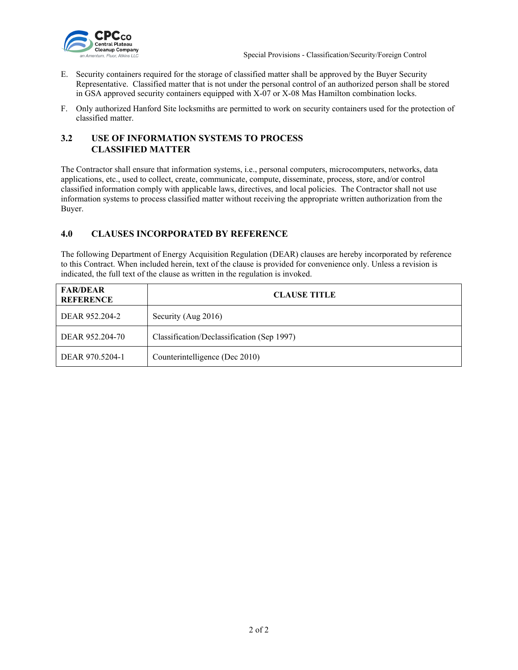

- E. Security containers required for the storage of classified matter shall be approved by the Buyer Security Representative. Classified matter that is not under the personal control of an authorized person shall be stored in GSA approved security containers equipped with X-07 or X-08 Mas Hamilton combination locks.
- F. Only authorized Hanford Site locksmiths are permitted to work on security containers used for the protection of classified matter.

### <span id="page-1-0"></span>**3.2 USE OF INFORMATION SYSTEMS TO PROCESS CLASSIFIED MATTER**

The Contractor shall ensure that information systems, i.e., personal computers, microcomputers, networks, data applications, etc., used to collect, create, communicate, compute, disseminate, process, store, and/or control classified information comply with applicable laws, directives, and local policies. The Contractor shall not use information systems to process classified matter without receiving the appropriate written authorization from the Buyer.

## <span id="page-1-1"></span>**4.0 CLAUSES INCORPORATED BY REFERENCE**

The following Department of Energy Acquisition Regulation (DEAR) clauses are hereby incorporated by reference to this Contract. When included herein, text of the clause is provided for convenience only. Unless a revision is indicated, the full text of the clause as written in the regulation is invoked.

| <b>FAR/DEAR</b><br><b>REFERENCE</b> | <b>CLAUSE TITLE</b>                        |
|-------------------------------------|--------------------------------------------|
| DEAR 952.204-2                      | Security (Aug 2016)                        |
| DEAR 952.204-70                     | Classification/Declassification (Sep 1997) |
| DEAR 970.5204-1                     | Counterintelligence (Dec 2010)             |